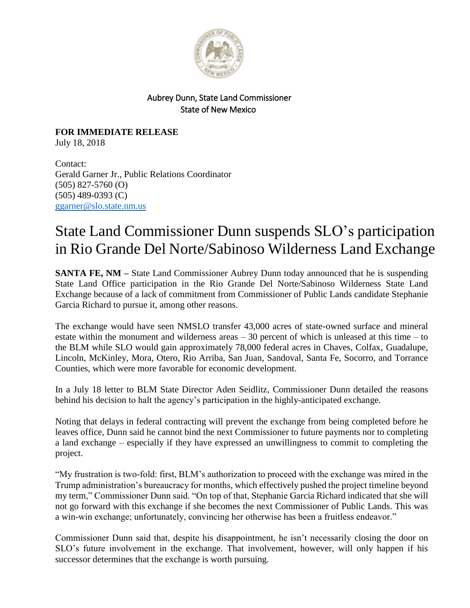

## Aubrey Dunn, State Land Commissioner State of New Mexico

**FOR IMMEDIATE RELEASE** July 18, 2018

Contact: Gerald Garner Jr., Public Relations Coordinator (505) 827-5760 (O) (505) 489-0393 (C) [ggarner@slo.state.nm.us](mailto:ggarner@slo.state.nm.us)

## State Land Commissioner Dunn suspends SLO's participation in Rio Grande Del Norte/Sabinoso Wilderness Land Exchange

**SANTA FE, NM** – State Land Commissioner Aubrey Dunn today announced that he is suspending State Land Office participation in the Rio Grande Del Norte/Sabinoso Wilderness State Land Exchange because of a lack of commitment from Commissioner of Public Lands candidate Stephanie Garcia Richard to pursue it, among other reasons.

The exchange would have seen NMSLO transfer 43,000 acres of state-owned surface and mineral estate within the monument and wilderness areas – 30 percent of which is unleased at this time – to the BLM while SLO would gain approximately 78,000 federal acres in Chaves, Colfax, Guadalupe, Lincoln, McKinley, Mora, Otero, Rio Arriba, San Juan, Sandoval, Santa Fe, Socorro, and Torrance Counties, which were more favorable for economic development.

In a July 18 letter to BLM State Director Aden Seidlitz, Commissioner Dunn detailed the reasons behind his decision to halt the agency's participation in the highly-anticipated exchange.

Noting that delays in federal contracting will prevent the exchange from being completed before he leaves office, Dunn said he cannot bind the next Commissioner to future payments nor to completing a land exchange – especially if they have expressed an unwillingness to commit to completing the project.

"My frustration is two-fold: first, BLM's authorization to proceed with the exchange was mired in the Trump administration's bureaucracy for months, which effectively pushed the project timeline beyond my term," Commissioner Dunn said. "On top of that, Stephanie Garcia Richard indicated that she will not go forward with this exchange if she becomes the next Commissioner of Public Lands. This was a win-win exchange; unfortunately, convincing her otherwise has been a fruitless endeavor."

Commissioner Dunn said that, despite his disappointment, he isn't necessarily closing the door on SLO's future involvement in the exchange. That involvement, however, will only happen if his successor determines that the exchange is worth pursuing.